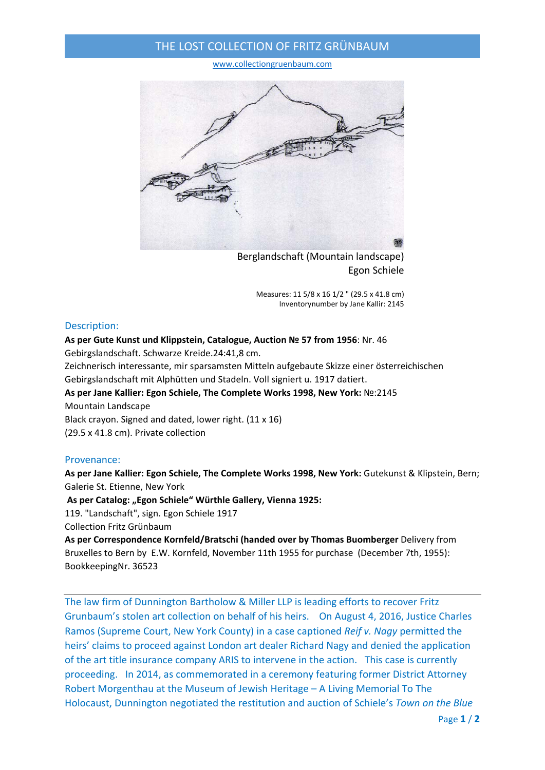## THE LOST COLLECTION OF FRITZ GRÜNBAUM

www.collectiongruenbaum.com



Berglandschaft (Mountain landscape) Egon Schiele

> Measures: 11 5/8 x 16 1/2 " (29.5 x 41.8 cm) Inventorynumber by Jane Kallir: 2145

## Description:

### **As per Gute Kunst und Klippstein, Catalogue, Auction № 57 from 1956**: Nr. 46

Gebirgslandschaft. Schwarze Kreide.24:41,8 cm.

Zeichnerisch interessante, mir sparsamsten Mitteln aufgebaute Skizze einer österreichischen Gebirgslandschaft mit Alphütten und Stadeln. Voll signiert u. 1917 datiert.

# **As per Jane Kallier: Egon Schiele, The Complete Works 1998, New York:** №:2145 Mountain Landscape

Black crayon. Signed and dated, lower right. (11 x 16)

(29.5 x 41.8 cm). Private collection

### Provenance:

**As per Jane Kallier: Egon Schiele, The Complete Works 1998, New York:** Gutekunst & Klipstein, Bern; Galerie St. Etienne, New York

**As per Catalog: "Egon Schiele" Würthle Gallery, Vienna 1925:**

119. "Landschaft", sign. Egon Schiele 1917

Collection Fritz Grünbaum

**As per Correspondence Kornfeld/Bratschi (handed over by Thomas Buomberger** Delivery from Bruxelles to Bern by E.W. Kornfeld, November 11th 1955 for purchase (December 7th, 1955): BookkeepingNr. 36523

The law firm of Dunnington Bartholow & Miller LLP is leading efforts to recover Fritz Grunbaum's stolen art collection on behalf of his heirs. On August 4, 2016, Justice Charles Ramos (Supreme Court, New York County) in a case captioned *Reif v. Nagy* permitted the heirs' claims to proceed against London art dealer Richard Nagy and denied the application of the art title insurance company ARIS to intervene in the action. This case is currently proceeding. In 2014, as commemorated in a ceremony featuring former District Attorney Robert Morgenthau at the Museum of Jewish Heritage – A Living Memorial To The Holocaust, Dunnington negotiated the restitution and auction of Schiele's *Town on the Blue*